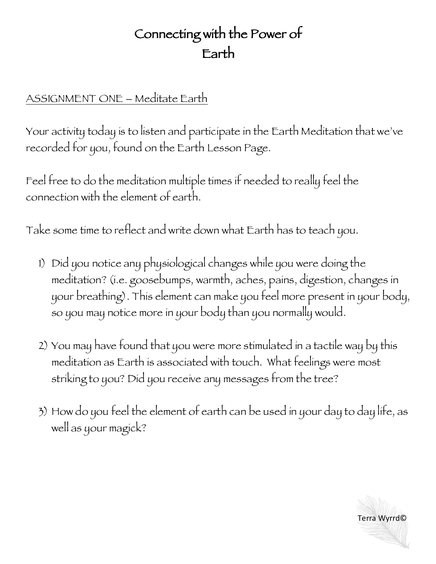## Connecting with the Power of Earth

## ASSIGNMENT ONE – Meditate Earth

Your activity today is to listen and participate in the Earth Meditation that we've recorded for you, found on the Earth Lesson Page.

Feel free to do the meditation multiple times if needed to really feel the connection with the element of earth.

Take some time to reflect and write down what Earth has to teach you.

- 1) Did you notice any physiological changes while you were doing the meditation? (i.e. goosebumps, warmth, aches, pains, digestion, changes in your breathing). This element can make you feel more present in your body, so you may notice more in your body than you normally would.
- 2) You may have found that you were more stimulated in a tactile way by this meditation as Earth is associated with touch. What feelings were most striking to you? Did you receive any messages from the tree?
- 3) How do you feel the element of earth can be used in your day to day life, as well as your magick?